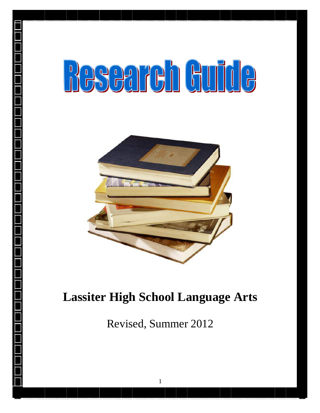# **BSCATCH GUILLE**



# **Lassiter High School Language Arts**

Revised, Summer 2012

1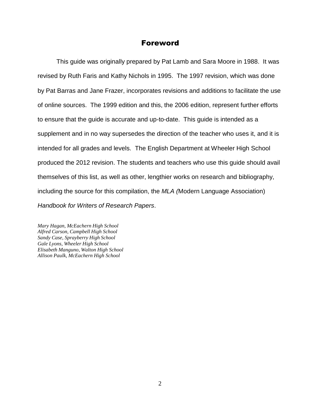## Foreword

This guide was originally prepared by Pat Lamb and Sara Moore in 1988. It was revised by Ruth Faris and Kathy Nichols in 1995. The 1997 revision, which was done by Pat Barras and Jane Frazer, incorporates revisions and additions to facilitate the use of online sources. The 1999 edition and this, the 2006 edition, represent further efforts to ensure that the guide is accurate and up-to-date. This guide is intended as a supplement and in no way supersedes the direction of the teacher who uses it, and it is intended for all grades and levels. The English Department at Wheeler High School produced the 2012 revision. The students and teachers who use this guide should avail themselves of this list, as well as other, lengthier works on research and bibliography, including the source for this compilation, the *MLA (*Modern Language Association) *Handbook for Writers of Research Papers*.

*Mary Hagan, McEachern High School Alfred Carson, Campbell High School Sandy Case, Sprayberry High School Gale Lyons, Wheeler High School Elisabeth Manguno, Walton High School Allison Paulk, McEachern High School*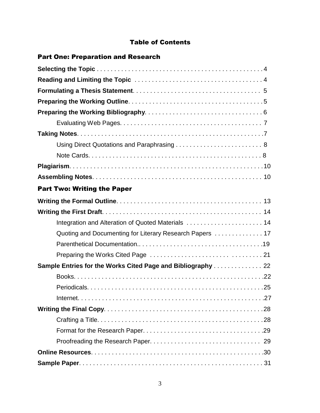## Table of Contents

| <b>Part One: Preparation and Research</b>                |  |
|----------------------------------------------------------|--|
|                                                          |  |
|                                                          |  |
|                                                          |  |
|                                                          |  |
|                                                          |  |
|                                                          |  |
|                                                          |  |
|                                                          |  |
|                                                          |  |
|                                                          |  |
|                                                          |  |
| <b>Part Two: Writing the Paper</b>                       |  |
|                                                          |  |
|                                                          |  |
| Integration and Alteration of Quoted Materials  14       |  |
| Quoting and Documenting for Literary Research Papers  17 |  |
|                                                          |  |
|                                                          |  |
| Sample Entries for the Works Cited Page and Bibliography |  |
|                                                          |  |
|                                                          |  |
|                                                          |  |
|                                                          |  |
|                                                          |  |
|                                                          |  |
|                                                          |  |
|                                                          |  |
|                                                          |  |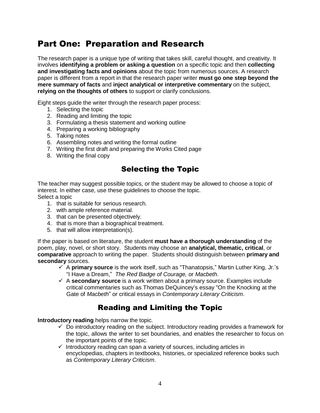# Part One: Preparation and Research

The research paper is a unique type of writing that takes skill, careful thought, and creativity. It involves **identifying a problem or asking a question** on a specific topic and then **collecting and investigating facts and opinions** about the topic from numerous sources. A research paper is different from a report in that the research paper writer **must go one step beyond the mere summary of facts** and **inject analytical or interpretive commentary** on the subject, **relying on the thoughts of others** to support or clarify conclusions.

Eight steps guide the writer through the research paper process:

- 1. Selecting the topic
- 2. Reading and limiting the topic
- 3. Formulating a thesis statement and working outline
- 4. Preparing a working bibliography
- 5. Taking notes
- 6. Assembling notes and writing the formal outline
- 7. Writing the first draft and preparing the Works Cited page
- 8. Writing the final copy

# Selecting the Topic

The teacher may suggest possible topics, or the student may be allowed to choose a topic of interest. In either case, use these guidelines to choose the topic. Select a topic

- 1. that is suitable for serious research.
- 2. with ample reference material.
- 3. that can be presented objectively.
- 4. that is more than a biographical treatment.
- 5. that will allow interpretation(s).

If the paper is based on literature, the student **must have a thorough understanding** of the poem, play, novel, or short story. Students may choose an **analytical, thematic, critical**, or **comparative** approach to writing the paper. Students should distinguish between **primary and secondary** sources.

- $\checkmark$  A **primary source** is the work itself, such as "Thanatopsis," Martin Luther King, Jr.'s "I Have a Dream," *The Red Badge of Courage,* or *Macbeth*.
- $\checkmark$  A **secondary source** is a work written about a primary source. Examples include critical commentaries such as Thomas DeQuincey's essay "On the Knocking at the Gate of *Macbeth*" or critical essays in *Contemporary Literary Criticism*.

# Reading and Limiting the Topic

**Introductory reading** helps narrow the topic.

- $\checkmark$  Do introductory reading on the subject. Introductory reading provides a framework for the topic, allows the writer to set boundaries, and enables the researcher to focus on the important points of the topic.
- $\checkmark$  Introductory reading can span a variety of sources, including articles in encyclopedias, chapters in textbooks, histories, or specialized reference books such as *Contemporary Literary Criticism*.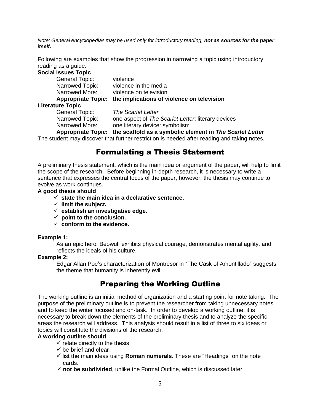*Note: General encyclopedias may be used only for introductory reading, not as sources for the paper itself.*

Following are examples that show the progression in narrowing a topic using introductory reading as a guide.

| <b>Social Issues Topic</b> |                                                                                             |
|----------------------------|---------------------------------------------------------------------------------------------|
| <b>General Topic:</b>      | violence                                                                                    |
| Narrowed Topic:            | violence in the media                                                                       |
| Narrowed More:             | violence on television                                                                      |
| <b>Appropriate Topic:</b>  | the implications of violence on television                                                  |
| <b>Literature Topic</b>    |                                                                                             |
| General Topic:             | <b>The Scarlet Letter</b>                                                                   |
| Narrowed Topic:            | one aspect of The Scarlet Letter. literary devices                                          |
| Narrowed More:             | one literary device: symbolism                                                              |
| <b>Appropriate Topic:</b>  | the scaffold as a symbolic element in The Scarlet Letter                                    |
|                            | The student may discover that further restriction is needed after reading and taking notes. |

# Formulating a Thesis Statement

A preliminary thesis statement, which is the main idea or argument of the paper, will help to limit the scope of the research. Before beginning in-depth research, it is necessary to write a sentence that expresses the central focus of the paper; however, the thesis may continue to evolve as work continues.

#### **A good thesis should**

- **state the main idea in a declarative sentence.**
- **limit the subject.**
- **establish an investigative edge.**
- $\checkmark$  point to the conclusion.
- **conform to the evidence.**

#### **Example 1:**

As an epic hero, Beowulf exhibits physical courage, demonstrates mental agility, and reflects the ideals of his culture.

#### **Example 2:**

Edgar Allan Poe's characterization of Montresor in "The Cask of Amontillado" suggests the theme that humanity is inherently evil.

# Preparing the Working Outline

The working outline is an initial method of organization and a starting point for note taking. The purpose of the preliminary outline is to prevent the researcher from taking unnecessary notes and to keep the writer focused and on-task. In order to develop a working outline, it is necessary to break down the elements of the preliminary thesis and to analyze the specific areas the research will address. This analysis should result in a list of three to six ideas or topics will constitute the divisions of the research.

#### **A working outline should**

- $\checkmark$  relate directly to the thesis.
- be **brief** and **clear**.
- $\checkmark$  list the main ideas using **Roman numerals.** These are "Headings" on the note cards.
- **not be subdivided**, unlike the Formal Outline, which is discussed later.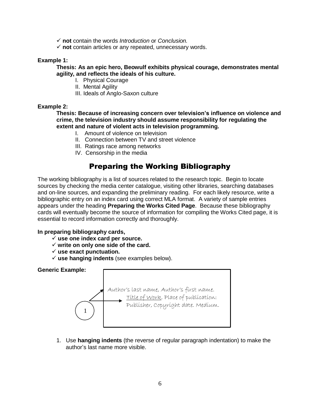- **not** contain the words *Introduction* or *Conclusion.*
- **not** contain articles or any repeated, unnecessary words.

#### **Example 1:**

**Thesis: As an epic hero, Beowulf exhibits physical courage, demonstrates mental agility, and reflects the ideals of his culture.**

- I. Physical Courage
- II. Mental Agility
- III. Ideals of Anglo-Saxon culture

#### **Example 2:**

**Thesis: Because of increasing concern over television's influence on violence and crime, the television industry should assume responsibility for regulating the extent and nature of violent acts in television programming.**

- I. Amount of violence on television
- II. Connection between TV and street violence
- III. Ratings race among networks
- IV. Censorship in the media

# Preparing the Working Bibliography

The working bibliography is a list of sources related to the research topic. Begin to locate sources by checking the media center catalogue, visiting other libraries, searching databases and on-line sources, and expanding the preliminary reading. For each likely resource, write a bibliographic entry on an index card using correct MLA format. A variety of sample entries appears under the heading **Preparing the Works Cited Page**. Because these bibliography cards will eventually become the source of information for compiling the Works Cited page, it is essential to record information correctly and thoroughly.

#### **In preparing bibliography cards,**

- **use one index card per source.**
- **write on only one side of the card.**
- **use exact punctuation.**
- **use hanging indents** (see examples below).

#### **Generic Example:**



1. Use **hanging indents** (the reverse of regular paragraph indentation) to make the author's last name more visible.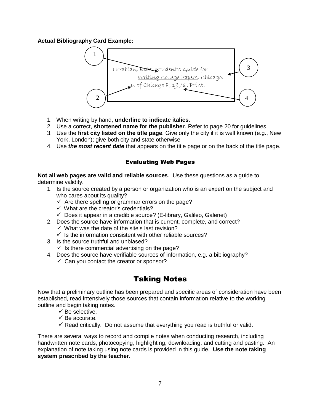#### **Actual Bibliography Card Example:**



- 1. When writing by hand, **underline to indicate italics**.
- 2. Use a correct, **shortened name for the publisher**. Refer to page 20 for guidelines.
- 3. Use the **first city listed on the title page**. Give only the city if it is well known (e.g., New York, London); give both city and state otherwise
- 4. Use *the most recent date* that appears on the title page or on the back of the title page.

#### Evaluating Web Pages

**Not all web pages are valid and reliable sources**. Use these questions as a guide to determine validity.

- 1. Is the source created by a person or organization who is an expert on the subject and who cares about its quality?
	- $\checkmark$  Are there spelling or grammar errors on the page?
	- $\checkmark$  What are the creator's credentials?
	- $\checkmark$  Does it appear in a credible source? (E-library, Galileo, Galenet)
- 2. Does the source have information that is current, complete, and correct?
	- $\checkmark$  What was the date of the site's last revision?
	- $\checkmark$  Is the information consistent with other reliable sources?
- 3. Is the source truthful and unbiased?
	- $\checkmark$  Is there commercial advertising on the page?
- 4. Does the source have verifiable sources of information, e.g. a bibliography?
	- $\checkmark$  Can you contact the creator or sponsor?

# Taking Notes

Now that a preliminary outline has been prepared and specific areas of consideration have been established, read intensively those sources that contain information relative to the working outline and begin taking notes.

- $\checkmark$  Be selective.
- $\checkmark$  Be accurate.
- $\checkmark$  Read critically. Do not assume that everything you read is truthful or valid.

There are several ways to record and compile notes when conducting research, including handwritten note cards, photocopying, highlighting, downloading, and cutting and pasting. An explanation of note taking using note cards is provided in this guide. **Use the note taking system prescribed by the teacher**.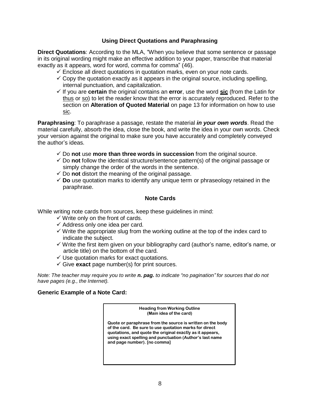#### **Using Direct Quotations and Paraphrasing**

**Direct Quotations**: According to the MLA, "When you believe that some sentence or passage in its original wording might make an effective addition to your paper, transcribe that material exactly as it appears, word for word, comma for comma" (46).

- $\checkmark$  Enclose all direct quotations in quotation marks, even on your note cards.
- $\checkmark$  Copy the quotation exactly as it appears in the original source, including spelling, internal punctuation, and capitalization.
- $\checkmark$  If you are **certain** the original contains an **error**, use the word **sic** (from the Latin for thus or so) to let the reader know that the error is accurately reproduced. Refer to the section on **Alteration of Quoted Material** on page 13 for information on how to use sic.

**Paraphrasing**: To paraphrase a passage, restate the material *in your own words*. Read the material carefully, absorb the idea, close the book, and write the idea in your own words. Check your version against the original to make sure you have accurately and completely conveyed the author's ideas.

- Do **not** use **more than three words in succession** from the original source.
- $\checkmark$  Do not follow the identical structure/sentence pattern(s) of the original passage or simply change the order of the words in the sentence.
- $\checkmark$  Do **not** distort the meaning of the original passage.
- **Do** use quotation marks to identify any unique term or phraseology retained in the paraphrase.

#### **Note Cards**

While writing note cards from sources, keep these guidelines in mind:

- $\checkmark$  Write only on the front of cards.
- $\checkmark$  Address only one idea per card.
- $\checkmark$  Write the appropriate slug from the working outline at the top of the index card to indicate the subject.
- $\checkmark$  Write the first item given on your bibliography card (author's name, editor's name, or article title) on the bottom of the card.
- $\checkmark$  Use quotation marks for exact quotations.
- $\checkmark$  Give **exact** page number(s) for print sources.

Note: The teacher may require you to write n. paq. to indicate "no pagination" for sources that do not *have pages (e.g., the Internet).*

#### **Generic Example of a Note Card:**

**Heading from Working Outline (Main idea of the card) Quote or paraphrase from the source is written on the body** 

**of the card. Be sure to use quotation marks for direct quotations, and quote the original exactly as it appears, using exact spelling and punctuation (Author's last name and page number). [no comma]**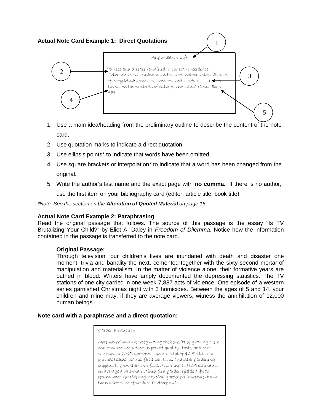# **Actual Note Card Example 1: Direct Quotations** 1



- 1. Use a main idea/heading from the preliminary outline to describe the content of the note card.
- 2. Use quotation marks to indicate a direct quotation.
- 3. Use ellipsis points\* to indicate that words have been omitted.
- 4. Use square brackets or interpolation\* to indicate that a word has been changed from the original.
- 5. Write the author's last name and the exact page with **no comma**. If there is no author, use the first item on your bibliography card (editor, article title, book title).

*\*Note: See the section on the Alteration of Quoted Material on page 16.*

#### **Actual Note Card Example 2: Paraphrasing**

Read the original passage that follows. The source of this passage is the essay "Is TV Brutalizing Your Child?" by Eliot A. Daley in *Freedom of Dilemma*. Notice how the information contained in the passage is transferred to the note card.

#### **Original Passage:**

Through television, our children's lives are inundated with death and disaster one moment, trivia and banality the next, cemented together with the sixty-second mortar of manipulation and materialism. In the matter of violence alone, their formative years are bathed in blood. Writers have amply documented the depressing statistics: The TV stations of one city carried in one week 7,887 acts of violence. One episode of a western series garnished Christmas night with 3 homicides. Between the ages of 5 and 14, your children and mine may, if they are average viewers, witness the annihilation of 12,000 human beings.

#### **Note card with a paraphrase and a direct quotation:**

Garden Production

9 the market price of produce (Butterfield).More Americans are recognizing the benefits of growing their own produce, including improved quality, taste, and cost savings. In 2008, gardeners spent a total of \$2.5 billion to purchase seeds, plants, fertilizer, tools, and other gardening supplies to grow their own food. According to NGA estimates, on average a well-maintained food garden yields a \$500 return when considering a typical gardeners investment and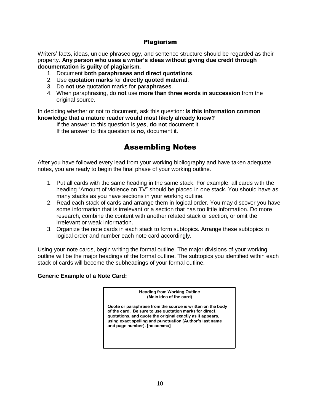#### Plagiarism

Writers' facts, ideas, unique phraseology, and sentence structure should be regarded as their property. **Any person who uses a writer's ideas without giving due credit through documentation is guilty of plagiarism.**

- 1. Document **both paraphrases and direct quotations**.
- 2. Use **quotation marks** for **directly quoted material**.
- 3. Do **not** use quotation marks for **paraphrases**.
- 4. When paraphrasing, do **not** use **more than three words in succession** from the original source.

In deciding whether or not to document, ask this question: **Is this information common knowledge that a mature reader would most likely already know?**

If the answer to this question is *yes*, **do not** document it.

If the answer to this question is *no*, document it.

# Assembling Notes

After you have followed every lead from your working bibliography and have taken adequate notes, you are ready to begin the final phase of your working outline.

- 1. Put all cards with the same heading in the same stack. For example, all cards with the heading "Amount of violence on TV" should be placed in one stack. You should have as many stacks as you have sections in your working outline.
- 2. Read each stack of cards and arrange them in logical order. You may discover you have some information that is irrelevant or a section that has too little information. Do more research, combine the content with another related stack or section, or omit the irrelevant or weak information.
- 3. Organize the note cards in each stack to form subtopics. Arrange these subtopics in logical order and number each note card accordingly.

Using your note cards, begin writing the formal outline. The major divisions of your working outline will be the major headings of the formal outline. The subtopics you identified within each stack of cards will become the subheadings of your formal outline.

#### **Generic Example of a Note Card:**

**Heading from Working Outline (Main idea of the card)**

**Quote or paraphrase from the source is written on the body of the card. Be sure to use quotation marks for direct quotations, and quote the original exactly as it appears, using exact spelling and punctuation (Author's last name and page number). [no comma]**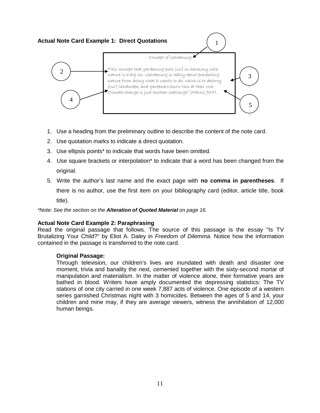# **Actual Note Card Example 1: Direct Quotations** 1



- 1. Use a heading from the preliminary outline to describe the content of the note card.
- 2. Use quotation marks to indicate a direct quotation.
- 3. Use ellipsis points\* to indicate that words have been omitted.
- 4. Use square brackets or interpolation\* to indicate that a word has been changed from the original.
- 5. Write the author's last name and the exact page with **no comma in parentheses**. If there is no author, use the first item on your bibliography card (editor, article title, book title).

*\*Note: See the section on the Alteration of Quoted Material on page 16.*

#### **Actual Note Card Example 2: Paraphrasing**

Read the original passage that follows. The source of this passage is the essay "Is TV Brutalizing Your Child?" by Eliot A. Daley in *Freedom of Dilemma*. Notice how the information contained in the passage is transferred to the note card.

#### **Original Passage:**

Through television, our children's lives are inundated with death and disaster one moment, trivia and banality the next, cemented together with the sixty-second mortar of manipulation and materialism. In the matter of violence alone, their formative years are bathed in blood. Writers have amply documented the depressing statistics: The TV stations of one city carried in one week 7,887 acts of violence. One episode of a western series garnished Christmas night with 3 homicides. Between the ages of 5 and 14, your children and mine may, if they are average viewers, witness the annihilation of 12,000 human beings.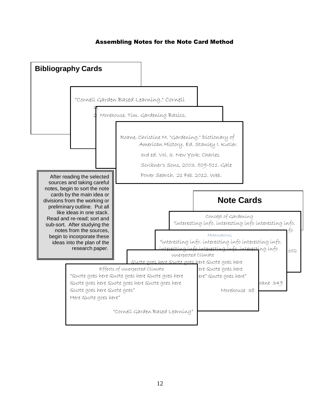#### Assembling Notes for the Note Card Method

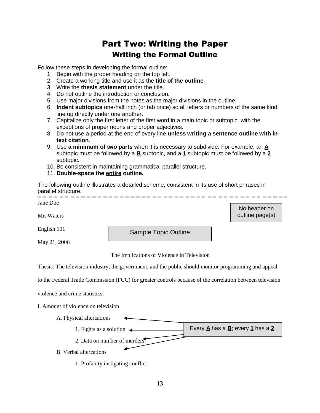# Part Two: Writing the Paper Writing the Formal Outline

Follow these steps in developing the formal outline:

- 1. Begin with the proper heading on the top left.
- 2. Create a working title and use it as the **title of the outline**.
- 3. Write the **thesis statement** under the title.
- 4. Do not outline the introduction or conclusion.
- 5. Use major divisions from the notes as the major divisions in the outline.
- 6. **Indent subtopics** one-half inch (or tab once) so all letters or numbers of the same kind line up directly under one another.
- 7. Capitalize only the first letter of the first word in a main topic or subtopic, with the exceptions of proper nouns and proper adjectives.
- 8. Do not use a period at the end of every line **unless writing a sentence outline with intext citation**.
- 9. Use **a minimum of two parts** when it is necessary to subdivide. For example, an **A** subtopic must be followed by a **B** subtopic, and a **1** subtopic must be followed by a **2** subtopic.
- 10. Be consistent in maintaining grammatical parallel structure.
- 11. **Double-space the entire outline.**

The following outline illustrates a detailed scheme, consistent in its use of short phrases in parallel structure. -----------

| Jane Doe                                                                                                 |                                            | No header on    |  |  |
|----------------------------------------------------------------------------------------------------------|--------------------------------------------|-----------------|--|--|
| Mr. Waters                                                                                               |                                            | outline page(s) |  |  |
| English 101                                                                                              | <b>Sample Topic Outline</b>                |                 |  |  |
| May 21, 2006                                                                                             |                                            |                 |  |  |
|                                                                                                          | The Implications of Violence in Television |                 |  |  |
| Thesis: The television industry, the government, and the public should monitor programming and appeal    |                                            |                 |  |  |
| to the Federal Trade Commission (FCC) for greater controls because of the correlation between television |                                            |                 |  |  |
|                                                                                                          |                                            |                 |  |  |

violence and crime statistics**.**

I. Amount of violence on television



1. Profanity instigating conflict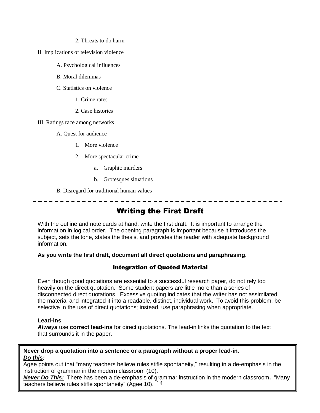- 2. Threats to do harm
- II. Implications of television violence
	- A. Psychological influences
	- B. Moral dilemmas
	- C. Statistics on violence
		- 1. Crime rates
		- 2. Case histories
- III. Ratings race among networks
	- A. Quest for audience
		- 1. More violence
		- 2. More spectacular crime
			- a. Graphic murders
			- b. Grotesques situations
	- B. Disregard for traditional human values

# Writing the First Draft

With the outline and note cards at hand, write the first draft. It is important to arrange the information in logical order. The opening paragraph is important because it introduces the subject, sets the tone, states the thesis, and provides the reader with adequate background information.

#### **As you write the first draft, document all direct quotations and paraphrasing.**

#### Integration of Quoted Material

Even though good quotations are essential to a successful research paper, do not rely too heavily on the direct quotation. Some student papers are little more than a series of disconnected direct quotations. Excessive quoting indicates that the writer has not assimilated the material and integrated it into a readable, distinct, individual work. To avoid this problem, be selective in the use of direct quotations; instead, use paraphrasing when appropriate.

#### **Lead-ins**

*Always* use **correct lead-ins** for direct quotations. The lead-in links the quotation to the text that surrounds it in the paper.

#### **Never drop a quotation into a sentence or a paragraph without a proper lead-in.** *Do this:*

Agee points out that "many teachers believe rules stifle spontaneity," resulting in a de-emphasis in the instruction of grammar in the modern classroom (10).

*Never Do This:* There has been a de-emphasis of grammar instruction in the modern classroom**.** "Many teachers believe rules stifle spontaneity" (Agee 10). 14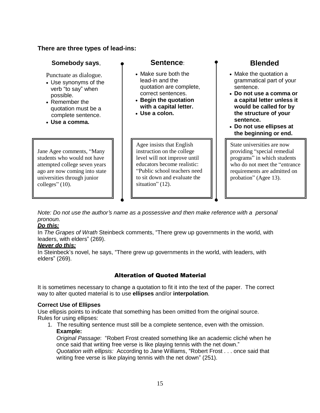#### **There are three types of lead-ins:**

#### **Somebody** says,  $\bullet$  **Sentence: P** Blended

Punctuate as dialogue.

- Use synonyms of the verb "to say" when possible.
- Remember the quotation must be a complete sentence.
- **Use a comma.**

Jane Agee comments, "Many students who would not have attempted college seven years ago are now coming into state universities through junior colleges" (10).

- Make sure both the lead-in and the quotation are complete, correct sentences.
- **Begin the quotation with a capital letter.**
- **Use a colon.**

Agee insists that English instruction on the college level will not improve until educators become realistic: "Public school teachers need to sit down and evaluate the situation" (12).

- Make the quotation a grammatical part of your sentence.
- **Do not use a comma or a capital letter unless it would be called for by the structure of your sentence.**
- **Do not use ellipses at the beginning or end.**

State universities are now providing "special remedial programs" in which students who do not meet the "entrance requirements are admitted on probation" (Agee 13).

*Note: Do not use the author's name as a possessive and then make reference with a personal pronoun.*

#### *Do this:*

In *The Grapes of Wrath* Steinbeck comments, "There grew up governments in the world, with leaders, with elders" (269).

#### *Never do this:*

In Steinbeck's novel, he says, "There grew up governments in the world, with leaders, with elders" (269).

## Alteration of Quoted Material

It is sometimes necessary to change a quotation to fit it into the text of the paper. The correct way to alter quoted material is to use **ellipses** and/or **interpolation**.

#### **Correct Use of Ellipses**

Use ellipsis points to indicate that something has been omitted from the original source. Rules for using ellipses:

1. The resulting sentence must still be a complete sentence, even with the omission. **Example:**

*Original Passage*: "Robert Frost created something like an academic cliché when he once said that writing free verse is like playing tennis with the net down."

*Quotation with ellipsis:* According to Jane Williams, "Robert Frost . . . once said that writing free verse is like playing tennis with the net down" (251).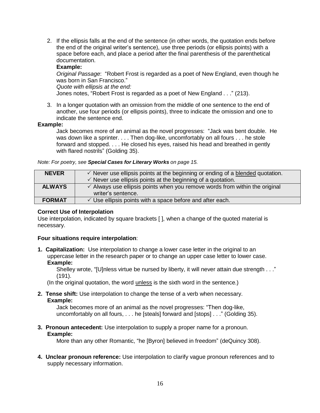2. If the ellipsis falls at the end of the sentence (in other words, the quotation ends before the end of the original writer's sentence), use three periods (or ellipsis points) with a space before each, and place a period after the final parenthesis of the parenthetical documentation.

#### **Example:**

*Original Passage*: "Robert Frost is regarded as a poet of New England, even though he was born in San Francisco."

*Quote with ellipsis at the end:*

Jones notes, "Robert Frost is regarded as a poet of New England . . ." (213).

3. In a longer quotation with an omission from the middle of one sentence to the end of another, use four periods (or ellipsis points), three to indicate the omission and one to indicate the sentence end.

#### **Example:**

Jack becomes more of an animal as the novel progresses: "Jack was bent double. He was down like a sprinter. . . . Then dog-like, uncomfortably on all fours . . . he stole forward and stopped. . . . He closed his eyes, raised his head and breathed in gently with flared nostrils" (Golding 35).

*Note: For poetry, see Special Cases for Literary Works on page 15.*

| <b>NEVER</b>  | $\checkmark$ Never use ellipsis points at the beginning or ending of a blended quotation.<br>$\checkmark$ Never use ellipsis points at the beginning of a quotation. |
|---------------|----------------------------------------------------------------------------------------------------------------------------------------------------------------------|
| <b>ALWAYS</b> | $\checkmark$ Always use ellipsis points when you remove words from within the original<br>writer's sentence.                                                         |
| <b>FORMAT</b> | $\checkmark$ Use ellipsis points with a space before and after each.                                                                                                 |

#### **Correct Use of Interpolation**

Use interpolation, indicated by square brackets [ ], when a change of the quoted material is necessary.

#### **Four situations require interpolation**:

**1. Capitalization:** Use interpolation to change a lower case letter in the original to an uppercase letter in the research paper or to change an upper case letter to lower case. **Example:**

Shelley wrote, "[U]nless virtue be nursed by liberty, it will never attain due strength . . ." (191).

(In the original quotation, the word unless is the sixth word in the sentence.)

**2. Tense shift:** Use interpolation to change the tense of a verb when necessary. **Example:**

Jack becomes more of an animal as the novel progresses: "Then dog-like, uncomfortably on all fours, . . . he [steals] forward and [stops] . . ." (Golding 35).

#### **3. Pronoun antecedent:** Use interpolation to supply a proper name for a pronoun.

#### **Example:**

More than any other Romantic, "he [Byron] believed in freedom" (deQuincy 308).

**4. Unclear pronoun reference:** Use interpolation to clarify vague pronoun references and to supply necessary information.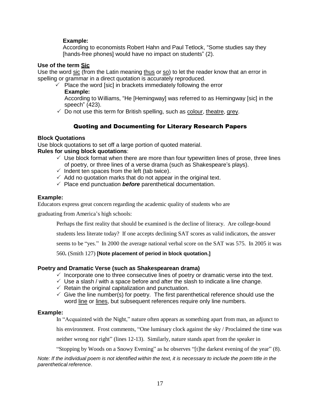#### **Example:**

According to economists Robert Hahn and Paul Tetlock, "Some studies say they [hands-free phones] would have no impact on students" (2).

#### **Use of the term Sic**

Use the word sic (from the Latin meaning thus or so) to let the reader know that an error in spelling or grammar in a direct quotation is accurately reproduced.

 $\checkmark$  Place the word [sic] in brackets immediately following the error **Example:**

According to Williams, "He [Hemingway] was referred to as Hemingway [sic] in the speech" (423).

 $\checkmark$  Do not use this term for British spelling, such as colour, theatre, grey.

#### Quoting and Documenting for Literary Research Papers

#### **Block Quotations**

Use block quotations to set off a large portion of quoted material.

#### **Rules for using block quotations**:

- $\checkmark$  Use block format when there are more than four typewritten lines of prose, three lines of poetry, or three lines of a verse drama (such as Shakespeare's plays).
- $\checkmark$  Indent ten spaces from the left (tab twice).
- $\checkmark$  Add no quotation marks that do not appear in the original text.
- $\sqrt{ }$  Place end punctuation **before** parenthetical documentation.

#### **Example:**

Educators express great concern regarding the academic quality of students who are

graduating from America's high schools:

Perhaps the first reality that should be examined is the decline of literacy. Are college-bound

students less literate today? If one accepts declining SAT scores as valid indicators, the answer

seems to be "yes." In 2000 the average national verbal score on the SAT was 575. In 2005 it was

560**.** (Smith 127) **[Note placement of period in block quotation.]**

#### **Poetry and Dramatic Verse (such as Shakespearean drama)**

- $\checkmark$  Incorporate one to three consecutive lines of poetry or dramatic verse into the text.
- $\checkmark$  Use a slash / with a space before and after the slash to indicate a line change.
- $\checkmark$  Retain the original capitalization and punctuation.
- $\checkmark$  Give the line number(s) for poetry. The first parenthetical reference should use the word line or lines, but subsequent references require only line numbers.

#### **Example:**

In "Acquainted with the Night," nature often appears as something apart from man, an adjunct to

his environment. Frost comments, "One luminary clock against the sky / Proclaimed the time was

neither wrong nor right" (lines 12-13). Similarly, nature stands apart from the speaker in

"Stopping by Woods on a Snowy Evening" as he observes "[t]he darkest evening of the year" (8).

Note: If the individual poem is not identified within the text, it is necessary to include the poem title in the *parenthetical reference*.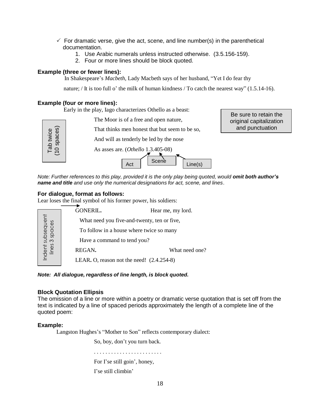- $\checkmark$  For dramatic verse, give the act, scene, and line number(s) in the parenthetical documentation.
	- 1. Use Arabic numerals unless instructed otherwise. (3.5.156-159).
	- 2. Four or more lines should be block quoted.

#### **Example (three or fewer lines):**

In Shakespeare's *Macbeth*, Lady Macbeth says of her husband, "Yet I do fear thy

nature; / It is too full o' the milk of human kindness / To catch the nearest way" (1.5.14-16).

#### **Example (four or more lines):**

Early in the play, Iago characterizes Othello as a beast:

|                          | Early in the play, lago characterizes Othello as a beast:<br>The Moor is of a free and open nature,<br>That thinks men honest that but seem to be so, | Be sure to retain the<br>original capitalization<br>and punctuation |
|--------------------------|-------------------------------------------------------------------------------------------------------------------------------------------------------|---------------------------------------------------------------------|
| Tab twice<br>(10 spaces) | And will as tenderly be led by the nose<br>As asses are. $(Othello 1.3.405-08)$<br>Scene<br>Line(s)<br>Act                                            |                                                                     |

Note: Further references to this play, provided it is the only play being quoted, would omit both author's *name and title and use only the numerical designations for act, scene, and lines*.

#### **For dialogue, format as follows:**

|                                     |                                                                                                                                                              | As asses are. $(Othello 1.3.405-08)$                                                               |     |                   |                |  |  |
|-------------------------------------|--------------------------------------------------------------------------------------------------------------------------------------------------------------|----------------------------------------------------------------------------------------------------|-----|-------------------|----------------|--|--|
|                                     |                                                                                                                                                              |                                                                                                    | Act | Scene             | Line(s)        |  |  |
|                                     | Note: Further references to this play, provided it is the only play being quot<br>name and title and use only the numerical designations for act, scene, and |                                                                                                    |     |                   |                |  |  |
|                                     |                                                                                                                                                              | For dialogue, format as follows:<br>Lear loses the final symbol of his former power, his soldiers: |     |                   |                |  |  |
|                                     |                                                                                                                                                              | GONERIL.                                                                                           |     | Hear me, my lord. |                |  |  |
| Indent subsequent<br>lines 3 spaces |                                                                                                                                                              | What need you five-and-twenty, ten or five,                                                        |     |                   |                |  |  |
|                                     |                                                                                                                                                              | To follow in a house where twice so many                                                           |     |                   |                |  |  |
|                                     |                                                                                                                                                              | Have a command to tend you?                                                                        |     |                   |                |  |  |
|                                     |                                                                                                                                                              | REGAN.                                                                                             |     |                   | What need one? |  |  |
|                                     |                                                                                                                                                              | LEAR. O, reason not the need! $(2.4.254-8)$                                                        |     |                   |                |  |  |
|                                     |                                                                                                                                                              |                                                                                                    |     |                   |                |  |  |

*Note: All dialogue, regardless of line length, is block quoted.*

#### **Block Quotation Ellipsis**

The omission of a line or more within a poetry or dramatic verse quotation that is set off from the text is indicated by a line of spaced periods approximately the length of a complete line of the quoted poem:

#### **Example:**

Langston Hughes's "Mother to Son" reflects contemporary dialect:

So, boy, don't you turn back.

. . . . . . . . . . . . . . . . . . . . . . . .

#### For I'se still goin', honey,

I'se still climbin'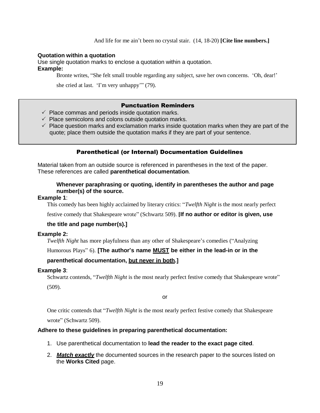#### **Quotation within a quotation**

Use single quotation marks to enclose a quotation within a quotation. **Example:**

Bronte writes, "She felt small trouble regarding any subject, save her own concerns. 'Oh, dear!'

she cried at last. 'I'm very unhappy'" (79).

#### Punctuation Reminders

- $\checkmark$  Place commas and periods inside quotation marks.
- $\checkmark$  Place semicolons and colons outside quotation marks.
- $\checkmark$  Place question marks and exclamation marks inside quotation marks when they are part of the quote; place them outside the quotation marks if they are part of your sentence.

#### Parenthetical (or Internal) Documentation Guidelines

Material taken from an outside source is referenced in parentheses in the text of the paper. These references are called **parenthetical documentation**.

#### **Whenever paraphrasing or quoting, identify in parentheses the author and page number(s) of the source.**

#### **Example 1**:

This comedy has been highly acclaimed by literary critics: "*Twelfth Night* is the most nearly perfect

festive comedy that Shakespeare wrote" (Schwartz 509). **[If no author or editor is given, use** 

#### **the title and page number(s).]**

#### **Example 2:**

*Twelfth Night* has more playfulness than any other of Shakespeare's comedies ("Analyzing

Humorous Plays" 6). **[The author's name MUST be either in the lead-in or in the** 

#### **parenthetical documentation, but never in both.]**

#### **Example 3**:

Schwartz contends, "*Twelfth Night* is the most nearly perfect festive comedy that Shakespeare wrote" (509).

or

One critic contends that "*Twelfth Night* is the most nearly perfect festive comedy that Shakespeare wrote" (Schwartz 509).

#### **Adhere to these guidelines in preparing parenthetical documentation:**

- 1. Use parenthetical documentation to **lead the reader to the exact page cited**.
- 2. *Match exactly* the documented sources in the research paper to the sources listed on the **Works Cited** page.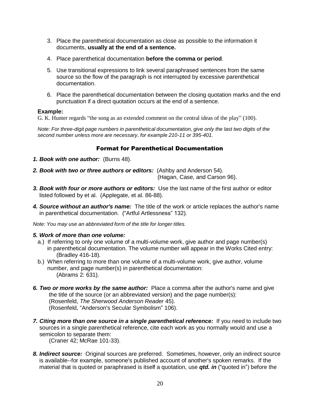- 3. Place the parenthetical documentation as close as possible to the information it documents, **usually at the end of a sentence.**
- 4. Place parenthetical documentation **before the comma or period**.
- 5. Use transitional expressions to link several paraphrased sentences from the same source so the flow of the paragraph is not interrupted by excessive parenthetical documentation.
- 6. Place the parenthetical documentation between the closing quotation marks and the end punctuation if a direct quotation occurs at the end of a sentence.

#### **Example:**

G. K. Hunter regards "the song as an extended comment on the central ideas of the play" (100).

*Note: For three-digit page numbers in parenthetical documentation, give only the last two digits of the second number unless more are necessary, for example 210-11 or 395-401.*

#### Format for Parenthetical Documentation

- *1. Book with one author:* (Burns 48).
- *2. Book with two or three authors or editors:* (Ashby and Anderson 54).

(Hagan, Case, and Carson 96).

- *3. Book with four or more authors or editors:* Use the last name of the first author or editor listed followed by et al. (Applegate, et al. 86-88).
- *4. Source without an author's name:* The title of the work or article replaces the author's name in parenthetical documentation. ("Artful Artlessness" 132).

*Note: You may use an abbreviated form of the title for longer titles.*

#### *5. Work of more than one volume:*

- a.) If referring to only one volume of a multi-volume work, give author and page number(s) in parenthetical documentation. The volume number will appear in the Works Cited entry: (Bradley 416-18).
- b.) When referring to more than one volume of a multi-volume work, give author, volume number, and page number(s) in parenthetical documentation: (Abrams 2: 631).
- *6. Two or more works by the same author:* Place a comma after the author's name and give the title of the source (or an abbreviated version) and the page number(s): (Rosenfeld, *The Sherwood Anderson Reader* 45). (Rosenfeld, "Anderson's Secular Symbolism" 106).
- *7. Citing more than one source in a single parenthetical reference:* If you need to include two sources in a single parenthetical reference, cite each work as you normally would and use a semicolon to separate them:

(Craner 42; McRae 101-33).

*8. Indirect source:* Original sources are preferred. Sometimes, however, only an indirect source is available--for example, someone's published account of another's spoken remarks. If the material that is quoted or paraphrased is itself a quotation, use *qtd. in* ("quoted in") before the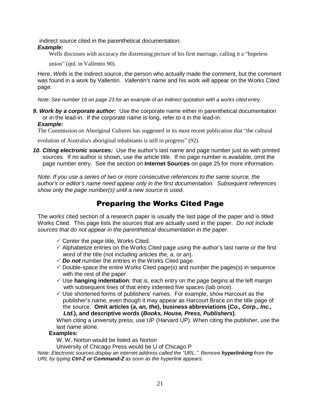indirect source cited in the parenthetical documentation.

#### *Example:*

Wells discusses with accuracy the distressing picture of his first marriage, calling it a "hopeless

union" (qtd. in Vallentin 90).

Here, *Wells* is the indirect source, the person who actually made the comment, but the comment was found in a work by Vallentin. *Vallentin's* name and his work will appear on the Works Cited page.

*Note: See number 16 on page 23 for an example of an indirect quotation with a works cited entry.*

*9. Work by a corporate author:* Use the corporate name either in parenthetical documentation or in the lead-in. If the corporate name is long, refer to it in the lead-in. *Example:*

The Commission on Aboriginal Cultures has suggested in its most recent publication that "the cultural

evolution of Australia's aboriginal inhabitants is still in progress" (92).

*10. Citing electronic sources:* Use the author's last name and page number just as with printed sources. If no author is shown, use the article title. If no page number is available, omit the page number entry. See the section on **Internet Sources** on page 25 for more information.

*Note: If you use a series of two or more consecutive references to the same source, the author's or editor's name need appear only in the first documentation. Subsequent references show only the page number(s) until a new source is used.*

# Preparing the Works Cited Page

The works cited section of a research paper is usually the last page of the paper and is titled Works Cited. This page lists the sources that are actually used in the paper. *Do not include sources that do not appear in the parenthetical documentation in the paper.*

- $\checkmark$  Center the page title, Works Cited.
- $\checkmark$  Alphabetize entries on the Works Cited page using the author's last name or the first word of the title (not including articles *the, a*, or *an*).
- $\checkmark$  **Do not** number the entries in the Works Cited page.
- $\checkmark$  Double-space the entire Works Cited page(s) and number the pages(s) in sequence with the rest of the paper.
- Use **hanging indentation**; that is, each entry on the page begins at the left margin with subsequent lines of that entry indented five spaces (tab once).
- $\checkmark$  Use shortened forms of publishers' names. For example, show Harcourt as the publisher's name, even though it may appear as Harcourt Brace on the title page of the source. **Omit articles (***a, an, the***), business abbreviations (***Co., Corp., Inc., Ltd.***), and descriptive words (***Books, House, Press, Publishers***)**.

When citing a university press, use UP (Harvard UP). When citing the publisher, use the last name alone.

#### **Examples:**

W. W. Norton would be listed as Norton

University of Chicago Press would be U of Chicago P

*Note: Electronic sources display an internet address called the "URL." Remove hyperlinking from the URL by typing Ctrl-Z or Command-Z as soon as the hyperlink appears.*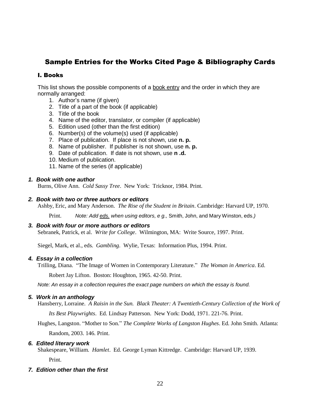# Sample Entries for the Works Cited Page & Bibliography Cards

#### I. Books

This list shows the possible components of a book entry and the order in which they are normally arranged:

- 1. Author's name (if given)
- 2. Title of a part of the book (if applicable)
- 3. Title of the book
- 4. Name of the editor, translator, or compiler (if applicable)
- 5. Edition used (other than the first edition)
- 6. Number(s) of the volume(s) used (if applicable)
- 7. Place of publication. If place is not shown, use **n. p.**
- 8. Name of publisher. If publisher is not shown, use **n. p.**
- 9. Date of publication. If date is not shown, use **n .d.**
- 10. Medium of publication.
- 11. Name of the series (if applicable)

#### *1. Book with one author*

Burns, Olive Ann. *Cold Sassy Tree*. New York: Tricknor, 1984. Print.

#### *2. Book with two or three authors or editors*

Ashby, Eric, and Mary Anderson. *The Rise of the Student in Britain*. Cambridge: Harvard UP, 1970.

Print. *Note: Add eds. when using editors, e g.,* Smith, John, and Mary Winston, eds.*)*

#### *3. Book with four or more authors or editors*

Sebranek, Patrick, et al. *Write for College*. Wilmington, MA: Write Source, 1997. Print.

Siegel, Mark, et al., eds. *Gambling*. Wylie, Texas: Information Plus, 1994. Print.

#### *4. Essay in a collection*

Trilling, Diana. "The Image of Women in Contemporary Literature." *The Woman in America*. Ed.

Robert Jay Lifton. Boston: Houghton, 1965. 42-50. Print.

*Note: An essay in a collection requires the exact page numbers on which the essay is found.*

#### *5. Work in an anthology*

Hansberry, Lorraine. *A Raisin in the Sun. Black Theater: A Twentieth-Century Collection of the Work of*

*Its Best Playwrights*. Ed. Lindsay Patterson. New York: Dodd, 1971. 221-76. Print.

Hughes, Langston. "Mother to Son." *The Complete Works of Langston Hughes*. Ed. John Smith. Atlanta:

Random, 2003. 146. Print.

#### *6. Edited literary work*

Shakespeare, William. *Hamlet*. Ed. George Lyman Kittredge. Cambridge: Harvard UP, 1939. Print.

#### *7. Edition other than the first*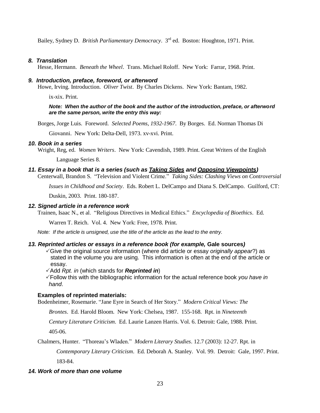Bailey, Sydney D. *British Parliamentary Democracy*. 3 rd ed. Boston: Houghton, 1971. Print.

#### *8. Translation*

Hesse, Hermann. *Beneath the Wheel*. Trans. Michael Roloff. New York: Farrar, 1968. Print.

#### *9. Introduction, preface, foreword, or afterword*

Howe, Irving. Introduction. *Oliver Twist*. By Charles Dickens. New York: Bantam, 1982.

ix-xix. Print.

#### *Note: When the author of the book and the author of the introduction, preface, or afterword are the same person, write the entry this way:*

Borges, Jorge Luis. Foreword. *Selected Poems, 1932-1967*. By Borges. Ed. Norman Thomas Di

Giovanni. New York: Delta-Dell, 1973. xv-xvi. Print.

#### *10. Book in a series*

Wright, Reg, ed. *Women Writers*. New York: Cavendish, 1989. Print. Great Writers of the English

Language Series 8.

#### *11. Essay in a book that is a series (such as Taking Sides and Opposing Viewpoints)*

Centerwall, Brandon S. "Television and Violent Crime." *Taking Sides: Clashing Views on Controversial*

*Issues in Childhood and Society*. Eds. Robert L. DelCampo and Diana S. DelCampo. Guilford, CT:

Duskin, 2003. Print. 180-187.

#### *12. Signed article in a reference work*

Trainen, Isaac N., et al. "Religious Directives in Medical Ethics." *Encyclopedia of Bioethics*. Ed.

Warren T. Reich. Vol. 4. New York: Free, 1978. Print.

*Note: If the article is unsigned, use the title of the article as the lead to the entry.*

#### *13. Reprinted articles or essays in a reference book (for example,* **Gale sources***)*

- Give the original source information (where did article or essay *originally appear*?) as stated in the volume you are using. This information is often at the end of the article or essay.
- Add *Rpt. in* (which stands for *Reprinted in*)
- Follow this with the bibliographic information for the actual reference book *you have in hand*.

#### **Examples of reprinted materials:**

Bodenheimer, Rosemarie. "Jane Eyre in Search of Her Story." *Modern Critical Views: The*

*Brontes*. Ed. Harold Bloom. New York: Chelsea, 1987. 155-168. Rpt. in *Nineteenth*

*Century Literature Criticism*. Ed. Laurie Lanzen Harris. Vol. 6. Detroit: Gale, 1988. Print. 405-06.

Chalmers, Hunter. "Thoreau's Wladen." *Modern Literary Studies*. 12.7 (2003): 12-27. Rpt. in

*Contemporary Literary Criticism*. Ed. Deborah A. Stanley. Vol. 99. Detroit: Gale, 1997. Print. 183-84.

#### *14. Work of more than one volume*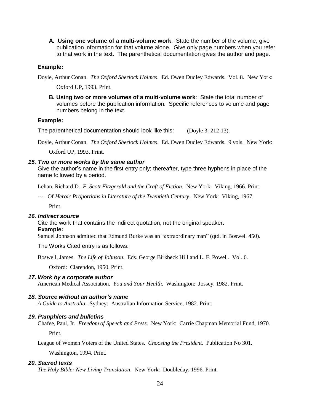**A. Using one volume of a multi-volume work**: State the number of the volume; give publication information for that volume alone. Give only page numbers when you refer to that work in the text. The parenthetical documentation gives the author and page.

#### **Example:**

Doyle, Arthur Conan. *The Oxford Sherlock Holmes*. Ed. Owen Dudley Edwards. Vol. 8. New York:

Oxford UP, 1993. Print.

**B. Using two or more volumes of a multi-volume work**: State the total number of volumes before the publication information. Specific references to volume and page numbers belong in the text.

#### **Example:**

The parenthetical documentation should look like this: (Doyle 3: 212-13).

Doyle, Arthur Conan. *The Oxford Sherlock Holmes*. Ed. Owen Dudley Edwards. 9 vols. New York:

Oxford UP, 1993. Print.

#### *15. Two or more works by the same author*

Give the author's name in the first entry only; thereafter, type three hyphens in place of the name followed by a period.

Lehan, Richard D. *F. Scott Fitzgerald and the Craft of Fiction*. New York: Viking, 1966. Print.

---. Of *Heroic Proportions in Literature of the Twentieth Century*. New York: Viking, 1967. Print.

#### *16. Indirect source*

Cite the work that contains the indirect quotation, not the original speaker.

#### **Example:**

Samuel Johnson admitted that Edmund Burke was an "extraordinary man" (qtd. in Boswell 450).

The Works Cited entry is as follows:

Boswell, James. *The Life of Johnson*. Eds. George Birkbeck Hill and L. F. Powell. Vol. 6.

Oxford: Clarendon, 1950. Print.

#### *17. Work by a corporate author*

American Medical Association*. You and Your Health*. Washington: Jossey, 1982. Print.

#### *18. Source without an author's name*

*A Guide to Australia*. Sydney: Australian Information Service, 1982. Print.

#### *19. Pamphlets and bulletins*

Chafee, Paul, Jr. *Freedom of Speech and Press*. New York: Carrie Chapman Memorial Fund, 1970.

Print.

League of Women Voters of the United States. *Choosing the President*. Publication No 301.

Washington, 1994. Print.

#### *20. Sacred texts*

*The Holy Bible: New Living Translation*. New York: Doubleday, 1996. Print.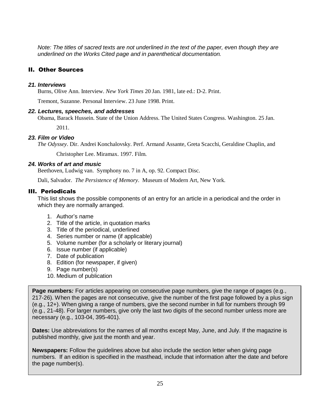*Note: The titles of sacred texts are not underlined in the text of the paper, even though they are underlined on the Works Cited page and in parenthetical documentation.*

#### II. Other Sources

#### *21. Interviews*

Burns, Olive Ann. Interview. *New York Times* 20 Jan. 1981, late ed.: D-2. Print.

Tremont, Suzanne. Personal Interview. 23 June 1998. Print.

#### *22. Lectures, speeches, and addresses*

Obama, Barack Hussein. State of the Union Address. The United States Congress. Washington. 25 Jan.

2011.

#### *23. Film or Video*

*The Odyssey*. Dir. Andrei Konchalovsky. Perf. Armand Assante, Greta Scacchi, Geraldine Chaplin, and

Christopher Lee. Miramax. 1997. Film.

#### *24. Works of art and music*

Beethoven, Ludwig van. Symphony no. 7 in A, op. 92. Compact Disc.

Dali, Salvador. *The Persistence of Memory*. Museum of Modern Art, New York.

#### III. Periodicals

This list shows the possible components of an entry for an article in a periodical and the order in which they are normally arranged.

- 1. Author's name
- 2. Title of the article, in quotation marks
- 3. Title of the periodical, underlined
- 4. Series number or name (if applicable)
- 5. Volume number (for a scholarly or literary journal)
- 6. Issue number (if applicable)
- 7. Date of publication
- 8. Edition (for newspaper, if given)
- 9. Page number(s)
- 10. Medium of publication

**Page numbers**: For articles appearing on consecutive page numbers, give the range of pages (e.g., 217-26). When the pages are not consecutive, give the number of the first page followed by a plus sign (e.g., 12+). When giving a range of numbers, give the second number in full for numbers through 99 (e.g., 21-48). For larger numbers, give only the last two digits of the second number unless more are necessary (e.g., 103-04, 395-401).

**Dates:** Use abbreviations for the names of all months except May, June, and July. If the magazine is published monthly, give just the month and year.

*25. Article in a monthly magazine* **Newspapers:** Follow the guidelines above but also include the section letter when giving page the page number(s). numbers. If an edition is specified in the masthead, include that information after the date and before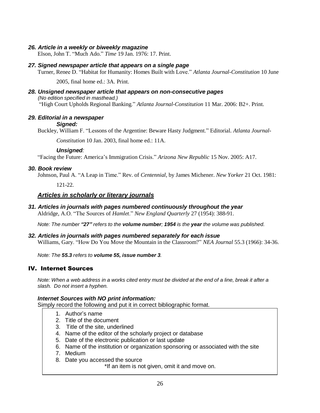#### *26. Article in a weekly or biweekly magazine*

Elson, John T. "Much Ado." *Time* 19 Jan. 1976: 17. Print.

#### *27. Signed newspaper article that appears on a single page*

Turner, Renee D. "Habitat for Humanity: Homes Built with Love." *Atlanta Journal-Constitution* 10 June

2005, final home ed.: 3A. Print.

#### *28. Unsigned newspaper article that appears on non-consecutive pages (No edition specified in masthead.)* "High Court Upholds Regional Banking." *Atlanta Journal-Constitution* 11 Mar. 2006: B2+. Print.

#### *29. Editorial in a newspaper Signed:*

Buckley, William F. "Lessons of the Argentine: Beware Hasty Judgment." Editorial. *Atlanta Journal-*

*Constitution* 10 Jan. 2003, final home ed.: 11A.

#### *Unsigned:*

"Facing the Future: America's Immigration Crisis." *Arizona New Republic* 15 Nov. 2005: A17.

#### *30. Book review*

Johnson, Paul A. "A Leap in Time." Rev. of *Centennial*, by James Michener. *New Yorker* 21 Oct. 1981:

121-22.

#### *Articles in scholarly or literary journals*

#### *31. Articles in journals with pages numbered continuously throughout the year*

Aldridge, A.O. "The Sources of *Hamlet*." *New England Quarterly* 27 (1954): 388-91.

Note: The number "27" refers to the volume number: 1954 is the year the volume was published.

#### *32. Articles in journals with pages numbered separately for each issue*

Williams, Gary. "How Do You Move the Mountain in the Classroom?" *NEA Journal* 55.3 (1966): 34-36.

*Note: The 55.3 refers to volume 55, issue number 3.*

#### IV. Internet Sources

Note: When a web address in a works cited entry must be divided at the end of a line, break it after a *slash. Do not insert a hyphen.*

#### *Internet Sources with NO print information:*

Simply record the following and put it in correct bibliographic format.

- 1. Author's name
- 2. Title of the document
- 3. Title of the site, underlined
- 4. Name of the editor of the scholarly project or database
- 5. Date of the electronic publication or last update
- 6. Name of the institution or organization sponsoring or associated with the site
- 7. Medium
- 8. Date you accessed the source

\*If an item is not given, omit it and move on.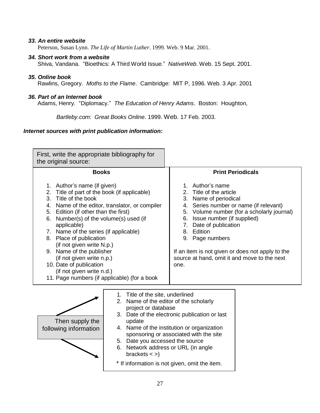#### *33. An entire website*

Peterson, Susan Lynn. *The Life of Martin Luther*. 1999. Web. 9 Mar. 2001.

#### *34. Short work from a website*

Shiva, Vandana. "Bioethics: A Third World Issue." *NativeWeb*. Web. 15 Sept. 2001.

#### *35. Online book*

Rawlins, Gregory. *Moths to the Flame*. Cambridge: MIT P, 1996. Web. 3 Apr. 2001

#### *36. Part of an Internet book*

Adams, Henry. "Diplomacy." *The Education of Henry Adams*. Boston: Houghton,

*Bartleby.com: Great Books Online*. 1999. Web. 17 Feb. 2003.

#### *Internet sources with print publication information:*

| First, write the appropriate bibliography for<br>the original source:                                                                                                                                                                                                                                                                                                                                                                                                                                                       |                                                                                                                                                                                                                                                                                                                                                                                                         |                                                                                                                                                                                                                                                                                                                                                                               |                          |
|-----------------------------------------------------------------------------------------------------------------------------------------------------------------------------------------------------------------------------------------------------------------------------------------------------------------------------------------------------------------------------------------------------------------------------------------------------------------------------------------------------------------------------|---------------------------------------------------------------------------------------------------------------------------------------------------------------------------------------------------------------------------------------------------------------------------------------------------------------------------------------------------------------------------------------------------------|-------------------------------------------------------------------------------------------------------------------------------------------------------------------------------------------------------------------------------------------------------------------------------------------------------------------------------------------------------------------------------|--------------------------|
| <b>Books</b>                                                                                                                                                                                                                                                                                                                                                                                                                                                                                                                |                                                                                                                                                                                                                                                                                                                                                                                                         |                                                                                                                                                                                                                                                                                                                                                                               | <b>Print Periodicals</b> |
| 1. Author's name (if given)<br>2. Title of part of the book (if applicable)<br>3. Title of the book<br>4. Name of the editor, translator, or compiler<br>5. Edition (if other than the first)<br>Number(s) of the volume(s) used (if<br>6.<br>applicable)<br>7. Name of the series (if applicable)<br>8. Place of publication<br>(if not given write N.p.)<br>9. Name of the publisher<br>(if not given write n.p.)<br>10. Date of publication<br>(if not given write n.d.)<br>11. Page numbers (if applicable) (for a book |                                                                                                                                                                                                                                                                                                                                                                                                         | 1. Author's name<br>2. Title of the article<br>3. Name of periodical<br>4. Series number or name (if relevant)<br>Volume number (for a scholarly journal)<br>5.<br>Issue number (if supplied)<br>6.<br>7.<br>Date of publication<br>8. Edition<br>9. Page numbers<br>If an item is not given or does not apply to the<br>source at hand, omit it and move to the next<br>one. |                          |
| Then supply the<br>following information                                                                                                                                                                                                                                                                                                                                                                                                                                                                                    | 1. Title of the site, underlined<br>Name of the editor of the scholarly<br>2.<br>project or database<br>3. Date of the electronic publication or last<br>update<br>4. Name of the institution or organization<br>sponsoring or associated with the site<br>5. Date you accessed the source<br>6. Network address or URL (in angle<br>brackets $\lt$ >)<br>* If information is not given, omit the item. |                                                                                                                                                                                                                                                                                                                                                                               |                          |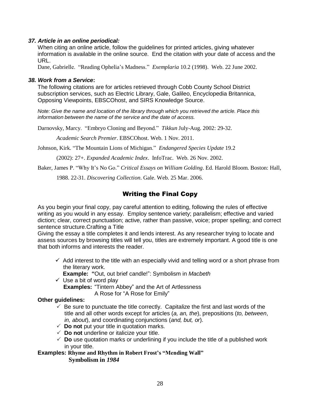#### *37. Article in an online periodical:*

When citing an online article, follow the guidelines for printed articles, giving whatever information is available in the online source. End the citation with your date of access and the URL.

Dane, Gabrielle. "Reading Ophelia's Madness." *Exemplaria* 10.2 (1998). Web. 22 June 2002.

#### *38. Work from a Service***:**

The following citations are for articles retrieved through Cobb County School District subscription services, such as Electric Library, Gale, Galileo, Encyclopedia Britannica, Opposing Viewpoints, EBSCOhost, and SIRS Knowledge Source.

*Note: Give the name and location of the library through which you retrieved the article. Place this information between the name of the service and the date of access.*

Darnovsky, Marcy. "Embryo Cloning and Beyond." *Tikkun* July-Aug. 2002: 29-32.

*Academic Search Premier*. EBSCOhost. Web. 1 Nov. 2011.

Johnson, Kirk. "The Mountain Lions of Michigan." *Endangered Species Update* 19.2

(2002): 27+. *Expanded Academic Index*. InfoTrac. Web. 26 Nov. 2002.

Baker, James P. "Why It's No Go." *Critical Essays on William Golding*. Ed. Harold Bloom. Boston: Hall,

1988. 22-31. *Discovering Collection*. Gale. Web. 25 Mar. 2006.

#### Writing the Final Copy

As you begin your final copy, pay careful attention to editing, following the rules of effective writing as you would in any essay. Employ sentence variety; parallelism; effective and varied diction; clear, correct punctuation; active, rather than passive, voice; proper spelling; and correct sentence structure.Crafting a Title

Giving the essay a title completes it and lends interest. As any researcher trying to locate and assess sources by browsing titles will tell you, titles are extremely important. A good title is one that both informs and interests the reader.

 $\checkmark$  Add interest to the title with an especially vivid and telling word or a short phrase from the literary work.

**Example: "**Out, out brief candle!": Symbolism in *Macbeth*

 $\checkmark$  Use a bit of word play **Examples:** "Tintern Abbey" and the Art of Artlessness A Rose for "A Rose for Emily"

#### **Other guidelines:**

- $\checkmark$  Be sure to punctuate the title correctly. Capitalize the first and last words of the title and all other words except for articles (*a, an, the*), prepositions (*to, between*, *in, about*), and coordinating conjunctions (*and, but, or*).
- $\checkmark$  **Do not** put your title in quotation marks.
- $\checkmark$  Do not underline or italicize your title.
- $\checkmark$  Do use quotation marks or underlining if you include the title of a published work in your title.

#### **Examples: Rhyme and Rhythm in Robert Frost's "Mending Wall"**

**Symbolism in** *1984*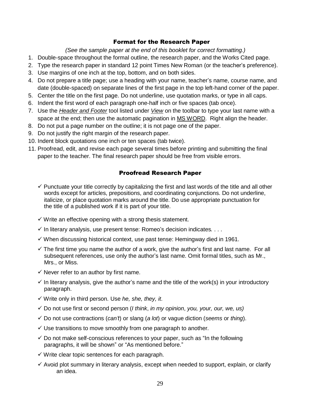#### Format for the Research Paper

*(See the sample paper at the end of this booklet for correct formatting.)*

- 1. Double-space throughout the formal outline, the research paper, and the Works Cited page.
- 2. Type the research paper in standard 12 point Times New Roman (or the teacher's preference).
- 3. Use margins of one inch at the top, bottom, and on both sides.
- 4. Do not prepare a title page; use a heading with your name, teacher's name, course name, and date (double-spaced) on separate lines of the first page in the top left-hand corner of the paper.
- 5. Center the title on the first page. Do not underline, use quotation marks, or type in all caps.
- 6. Indent the first word of each paragraph one-half inch or five spaces (tab once).
- 7. Use the *Header and Footer* tool listed under *View* on the toolbar to type your last name with a space at the end; then use the automatic pagination in MS WORD. Right align the header.
- 8. Do not put a page number on the outline; it is not page one of the paper.
- 9. Do not justify the right margin of the research paper.
- 10. Indent block quotations one inch or ten spaces (tab twice).
- 11. Proofread, edit, and revise each page several times before printing and submitting the final paper to the teacher. The final research paper should be free from visible errors.

#### Proofread Research Paper

- $\checkmark$  Punctuate your title correctly by capitalizing the first and last words of the title and all other words except for articles, prepositions, and coordinating conjunctions. Do not underline, italicize, or place quotation marks around the title. Do use appropriate punctuation for the title of a published work if it is part of your title.
- $\checkmark$  Write an effective opening with a strong thesis statement.
- In literary analysis, use present tense: Romeo's decision indicates*.* . . .
- $\checkmark$  When discussing historical context, use past tense: Hemingway died in 1961.
- $\checkmark$  The first time you name the author of a work, give the author's first and last name. For all subsequent references, use only the author's last name. Omit formal titles, such as Mr., Mrs., or Miss.
- $\checkmark$  Never refer to an author by first name.
- $\checkmark$  In literary analysis, give the author's name and the title of the work(s) in your introductory paragraph.
- Write only in third person. Use *he, she, they, it*.
- Do not use first or second person (*I think*, *in my opinion*, *you, your, our, we, us)*
- Do not use contractions (*can't*) or slang (*a lot*) or vague diction (*seems* or *thing*).
- $\checkmark$  Use transitions to move smoothly from one paragraph to another.
- $\checkmark$  Do not make self-conscious references to your paper, such as "In the following paragraphs, it will be shown" or "As mentioned before."
- $\checkmark$  Write clear topic sentences for each paragraph.
- $\checkmark$  Avoid plot summary in literary analysis, except when needed to support, explain, or clarify an idea.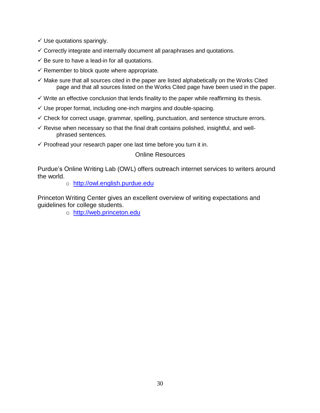- $\checkmark$  Use quotations sparingly.
- $\checkmark$  Correctly integrate and internally document all paraphrases and quotations.
- $\checkmark$  Be sure to have a lead-in for all quotations.
- $\checkmark$  Remember to block quote where appropriate.
- $\checkmark$  Make sure that all sources cited in the paper are listed alphabetically on the Works Cited page and that all sources listed on the Works Cited page have been used in the paper.
- $\checkmark$  Write an effective conclusion that lends finality to the paper while reaffirming its thesis.
- $\checkmark$  Use proper format, including one-inch margins and double-spacing.
- $\checkmark$  Check for correct usage, grammar, spelling, punctuation, and sentence structure errors.
- $\checkmark$  Revise when necessary so that the final draft contains polished, insightful, and wellphrased sentences.
- $\checkmark$  Proofread your research paper one last time before you turn it in.

#### Online Resources

Purdue's Online Writing Lab (OWL) offers outreach internet services to writers around the world.

o [http://owl.english.purdue.edu](http://owl.english.purdue.edu/)

Princeton Writing Center gives an excellent overview of writing expectations and guidelines for college students.

o [http://web.princeton.edu](http://web.princeton.edu/)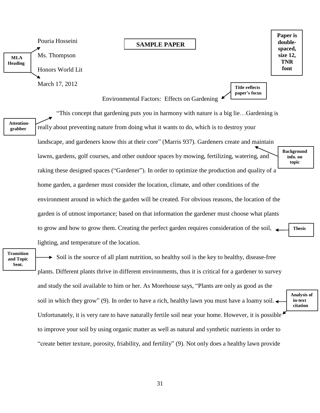# **MLA Heading** Pouria Hosseini Ms. Thompson Honors World Lit

March 17, 2012

#### **SAMPLE PAPER**

**Paper is doublespaced, size 12, TNR font**

> **Analysis of in-text citation**

**Title reflects paper's focus**

Environmental Factors: Effects on Gardening

"This concept that gardening puts you in harmony with nature is a big lie…Gardening is

**Attentiongrabber**

really about preventing nature from doing what it wants to do, which is to destroy your landscape, and gardeners know this at their core" (Marris 937). Gardeners create and maintain lawns, gardens, golf courses, and other outdoor spaces by mowing, fertilizing, watering, and raking these designed spaces ("Gardener"). In order to optimize the production and quality of a home garden, a gardener must consider the location, climate, and other conditions of the environment around in which the garden will be created. For obvious reasons, the location of the garden is of utmost importance; based on that information the gardener must choose what plants to grow and how to grow them. Creating the perfect garden requires consideration of the soil, lighting, and temperature of the location. **Background info. on topic Thesis**

**Transition and Topic Sent.**

 $\triangleright$  Soil is the source of all plant nutrition, so healthy soil is the key to healthy, disease-free plants. Different plants thrive in different environments, thus it is critical for a gardener to survey and study the soil available to him or her. As Morehouse says, "Plants are only as good as the soil in which they grow" (9). In order to have a rich, healthy lawn you must have a loamy soil. Unfortunately, it is very rare to have naturally fertile soil near your home. However, it is possible to improve your soil by using organic matter as well as natural and synthetic nutrients in order to "create better texture, porosity, friability, and fertility" (9). Not only does a healthy lawn provide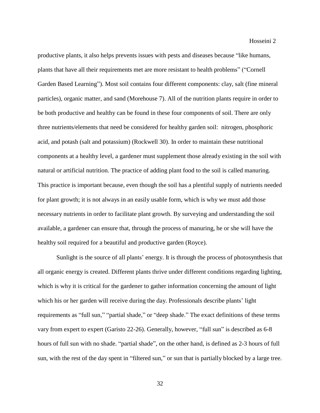productive plants, it also helps prevents issues with pests and diseases because "like humans, plants that have all their requirements met are more resistant to health problems" ("Cornell Garden Based Learning"). Most soil contains four different components: clay, salt (fine mineral particles), organic matter, and sand (Morehouse 7). All of the nutrition plants require in order to be both productive and healthy can be found in these four components of soil. There are only three nutrients/elements that need be considered for healthy garden soil: nitrogen, phosphoric acid, and potash (salt and potassium) (Rockwell 30). In order to maintain these nutritional components at a healthy level, a gardener must supplement those already existing in the soil with natural or artificial nutrition. The practice of adding plant food to the soil is called manuring. This practice is important because, even though the soil has a plentiful supply of nutrients needed for plant growth; it is not always in an easily usable form, which is why we must add those necessary nutrients in order to facilitate plant growth. By surveying and understanding the soil available, a gardener can ensure that, through the process of manuring, he or she will have the healthy soil required for a beautiful and productive garden (Royce).

Sunlight is the source of all plants' energy. It is through the process of photosynthesis that all organic energy is created. Different plants thrive under different conditions regarding lighting, which is why it is critical for the gardener to gather information concerning the amount of light which his or her garden will receive during the day. Professionals describe plants' light requirements as "full sun," "partial shade," or "deep shade." The exact definitions of these terms vary from expert to expert (Garisto 22-26). Generally, however, "full sun" is described as 6-8 hours of full sun with no shade. "partial shade", on the other hand, is defined as 2-3 hours of full sun, with the rest of the day spent in "filtered sun," or sun that is partially blocked by a large tree.

32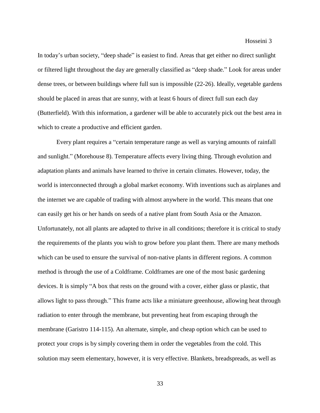#### Hosseini 3

In today's urban society, "deep shade" is easiest to find. Areas that get either no direct sunlight or filtered light throughout the day are generally classified as "deep shade." Look for areas under dense trees, or between buildings where full sun is impossible (22-26). Ideally, vegetable gardens should be placed in areas that are sunny, with at least 6 hours of direct full sun each day (Butterfield). With this information, a gardener will be able to accurately pick out the best area in which to create a productive and efficient garden.

Every plant requires a "certain temperature range as well as varying amounts of rainfall and sunlight." (Morehouse 8). Temperature affects every living thing. Through evolution and adaptation plants and animals have learned to thrive in certain climates. However, today, the world is interconnected through a global market economy. With inventions such as airplanes and the internet we are capable of trading with almost anywhere in the world. This means that one can easily get his or her hands on seeds of a native plant from South Asia or the Amazon. Unfortunately, not all plants are adapted to thrive in all conditions; therefore it is critical to study the requirements of the plants you wish to grow before you plant them. There are many methods which can be used to ensure the survival of non-native plants in different regions. A common method is through the use of a Coldframe. Coldframes are one of the most basic gardening devices. It is simply "A box that rests on the ground with a cover, either glass or plastic, that allows light to pass through." This frame acts like a miniature greenhouse, allowing heat through radiation to enter through the membrane, but preventing heat from escaping through the membrane (Garistro 114-115). An alternate, simple, and cheap option which can be used to protect your crops is by simply covering them in order the vegetables from the cold. This solution may seem elementary, however, it is very effective. Blankets, breadspreads, as well as

33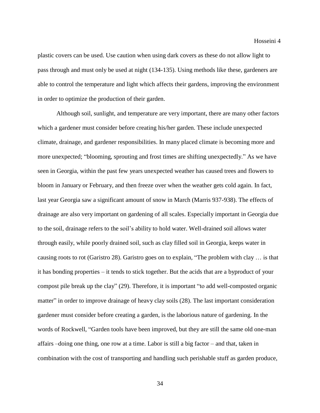plastic covers can be used. Use caution when using dark covers as these do not allow light to pass through and must only be used at night (134-135). Using methods like these, gardeners are able to control the temperature and light which affects their gardens, improving the environment in order to optimize the production of their garden.

Although soil, sunlight, and temperature are very important, there are many other factors which a gardener must consider before creating his/her garden. These include unexpected climate, drainage, and gardener responsibilities. In many placed climate is becoming more and more unexpected; "blooming, sprouting and frost times are shifting unexpectedly." As we have seen in Georgia, within the past few years unexpected weather has caused trees and flowers to bloom in January or February, and then freeze over when the weather gets cold again. In fact, last year Georgia saw a significant amount of snow in March (Marris 937-938). The effects of drainage are also very important on gardening of all scales. Especially important in Georgia due to the soil, drainage refers to the soil's ability to hold water. Well-drained soil allows water through easily, while poorly drained soil, such as clay filled soil in Georgia, keeps water in causing roots to rot (Garistro 28). Garistro goes on to explain, "The problem with clay … is that it has bonding properties – it tends to stick together. But the acids that are a byproduct of your compost pile break up the clay" (29). Therefore, it is important "to add well-composted organic matter" in order to improve drainage of heavy clay soils (28). The last important consideration gardener must consider before creating a garden, is the laborious nature of gardening. In the words of Rockwell, "Garden tools have been improved, but they are still the same old one-man affairs –doing one thing, one row at a time. Labor is still a big factor – and that, taken in combination with the cost of transporting and handling such perishable stuff as garden produce,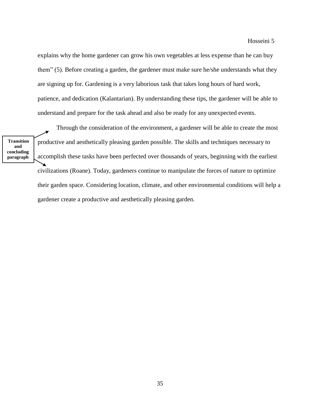explains why the home gardener can grow his own vegetables at less expense than he can buy them" (5). Before creating a garden, the gardener must make sure he/she understands what they are signing up for. Gardening is a very laborious task that takes long hours of hard work, patience, and dedication (Kalantarian). By understanding these tips, the gardener will be able to understand and prepare for the task ahead and also be ready for any unexpected events.

**Transition and concluding paragraph**

Through the consideration of the environment, a gardener will be able to create the most productive and aesthetically pleasing garden possible. The skills and techniques necessary to accomplish these tasks have been perfected over thousands of years, beginning with the earliest civilizations (Roane). Today, gardeners continue to manipulate the forces of nature to optimize their garden space. Considering location, climate, and other environmental conditions will help a gardener create a productive and aesthetically pleasing garden.